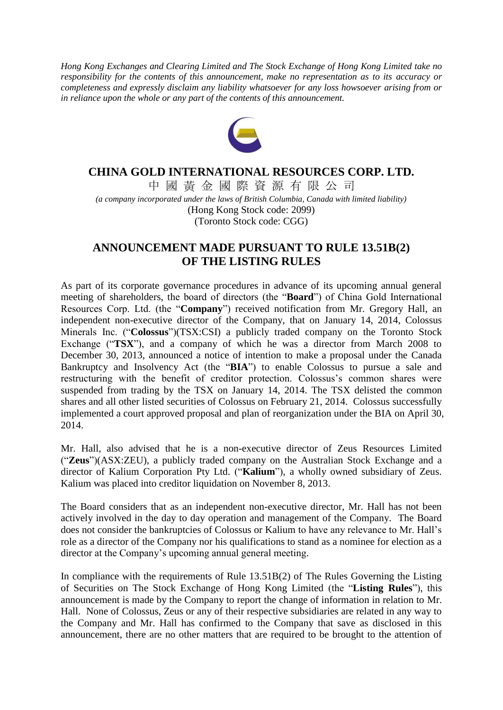*Hong Kong Exchanges and Clearing Limited and The Stock Exchange of Hong Kong Limited take no responsibility for the contents of this announcement, make no representation as to its accuracy or completeness and expressly disclaim any liability whatsoever for any loss howsoever arising from or in reliance upon the whole or any part of the contents of this announcement.*



## **CHINA GOLD INTERNATIONAL RESOURCES CORP. LTD.**

中 國 黃 金 國 際 資 源 有 限 公 司 *(a company incorporated under the laws of British Columbia, Canada with limited liability)* (Hong Kong Stock code: 2099) (Toronto Stock code: CGG)

## **ANNOUNCEMENT MADE PURSUANT TO RULE 13.51B(2) OF THE LISTING RULES**

As part of its corporate governance procedures in advance of its upcoming annual general meeting of shareholders, the board of directors (the "**Board**") of China Gold International Resources Corp. Ltd. (the "**Company**") received notification from Mr. Gregory Hall, an independent non-executive director of the Company, that on January 14, 2014, Colossus Minerals Inc. ("**Colossus**")(TSX:CSI) a publicly traded company on the Toronto Stock Exchange ("**TSX**"), and a company of which he was a director from March 2008 to December 30, 2013, announced a notice of intention to make a proposal under the Canada Bankruptcy and Insolvency Act (the "**BIA**") to enable Colossus to pursue a sale and restructuring with the benefit of creditor protection. Colossus's common shares were suspended from trading by the TSX on January 14, 2014. The TSX delisted the common shares and all other listed securities of Colossus on February 21, 2014. Colossus successfully implemented a court approved proposal and plan of reorganization under the BIA on April 30, 2014.

Mr. Hall, also advised that he is a non-executive director of Zeus Resources Limited ("**Zeus**")(ASX:ZEU), a publicly traded company on the Australian Stock Exchange and a director of Kalium Corporation Pty Ltd. ("**Kalium**"), a wholly owned subsidiary of Zeus. Kalium was placed into creditor liquidation on November 8, 2013.

The Board considers that as an independent non-executive director, Mr. Hall has not been actively involved in the day to day operation and management of the Company. The Board does not consider the bankruptcies of Colossus or Kalium to have any relevance to Mr. Hall's role as a director of the Company nor his qualifications to stand as a nominee for election as a director at the Company's upcoming annual general meeting.

In compliance with the requirements of Rule 13.51B(2) of The Rules Governing the Listing of Securities on The Stock Exchange of Hong Kong Limited (the "**Listing Rules**"), this announcement is made by the Company to report the change of information in relation to Mr. Hall. None of Colossus, Zeus or any of their respective subsidiaries are related in any way to the Company and Mr. Hall has confirmed to the Company that save as disclosed in this announcement, there are no other matters that are required to be brought to the attention of